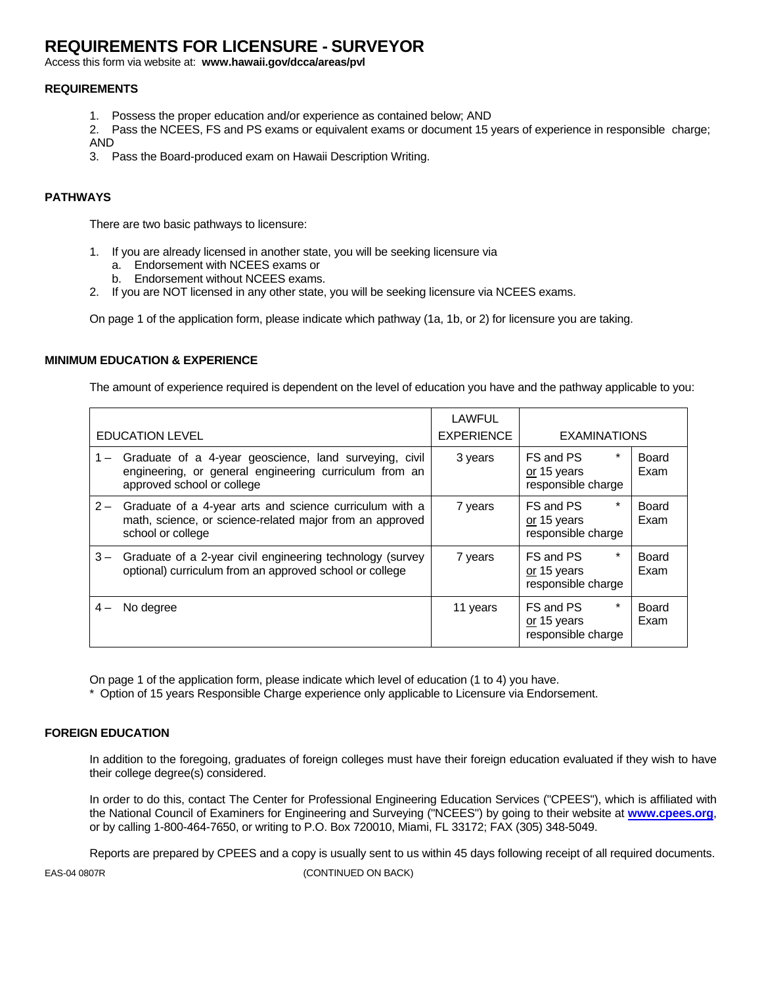# **REQUIREMENTS FOR LICENSURE - SURVEYOR**

Access this form via website at: **www.hawaii.gov/dcca/areas/pvl** 

### **REQUIREMENTS**

- 1. Possess the proper education and/or experience as contained below; AND
- 2. Pass the NCEES, FS and PS exams or equivalent exams or document 15 years of experience in responsible charge; AND
- 3. Pass the Board-produced exam on Hawaii Description Writing.

### **PATHWAYS**

There are two basic pathways to licensure:

- 1. If you are already licensed in another state, you will be seeking licensure via
	- a. Endorsement with NCEES exams or
	- b. Endorsement without NCEES exams.
- 2. If you are NOT licensed in any other state, you will be seeking licensure via NCEES exams.

On page 1 of the application form, please indicate which pathway (1a, 1b, or 2) for licensure you are taking.

### **MINIMUM EDUCATION & EXPERIENCE**

The amount of experience required is dependent on the level of education you have and the pathway applicable to you:

|       | <b>EDUCATION LEVEL</b>                                                                                                                         | <b>LAWFUL</b><br><b>EXPERIENCE</b> | <b>EXAMINATIONS</b>                                       |                      |
|-------|------------------------------------------------------------------------------------------------------------------------------------------------|------------------------------------|-----------------------------------------------------------|----------------------|
| $1 -$ | Graduate of a 4-year geoscience, land surveying, civil<br>engineering, or general engineering curriculum from an<br>approved school or college | 3 years                            | $\star$<br>FS and PS<br>or 15 years<br>responsible charge | Board<br>Exam        |
| $2 -$ | Graduate of a 4-year arts and science curriculum with a<br>math, science, or science-related major from an approved<br>school or college       | 7 years                            | *<br>FS and PS<br>or 15 years<br>responsible charge       | Board<br>Exam        |
| $3 -$ | Graduate of a 2-year civil engineering technology (survey<br>optional) curriculum from an approved school or college                           | 7 years                            | *<br>FS and PS<br>or 15 years<br>responsible charge       | <b>Board</b><br>Exam |
| 4 –   | No degree                                                                                                                                      | 11 years                           | *<br>FS and PS<br>or 15 years<br>responsible charge       | Board<br>Exam        |

On page 1 of the application form, please indicate which level of education (1 to 4) you have.

\* Option of 15 years Responsible Charge experience only applicable to Licensure via Endorsement.

### **FOREIGN EDUCATION**

In addition to the foregoing, graduates of foreign colleges must have their foreign education evaluated if they wish to have their college degree(s) considered.

In order to do this, contact The Center for Professional Engineering Education Services ("CPEES"), which is affiliated with the National Council of Examiners for Engineering and Surveying ("NCEES") by going to their website at **www.cpees.org**, or by calling 1-800-464-7650, or writing to P.O. Box 720010, Miami, FL 33172; FAX (305) 348-5049.

Reports are prepared by CPEES and a copy is usually sent to us within 45 days following receipt of all required documents.

EAS-04 0807R (CONTINUED ON BACK)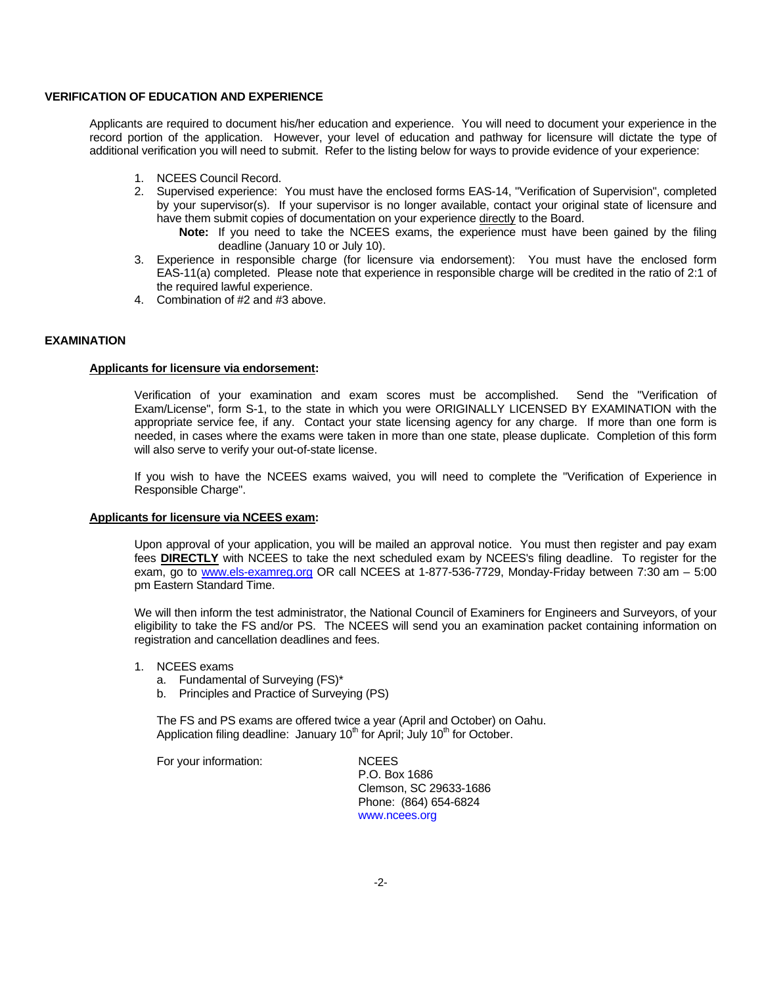#### **VERIFICATION OF EDUCATION AND EXPERIENCE**

Applicants are required to document his/her education and experience. You will need to document your experience in the record portion of the application. However, your level of education and pathway for licensure will dictate the type of additional verification you will need to submit. Refer to the listing below for ways to provide evidence of your experience:

- 1. NCEES Council Record.
- 2. Supervised experience: You must have the enclosed forms EAS-14, "Verification of Supervision", completed by your supervisor(s). If your supervisor is no longer available, contact your original state of licensure and have them submit copies of documentation on your experience directly to the Board.
	- **Note:** If you need to take the NCEES exams, the experience must have been gained by the filing deadline (January 10 or July 10).
- 3. Experience in responsible charge (for licensure via endorsement): You must have the enclosed form EAS-11(a) completed. Please note that experience in responsible charge will be credited in the ratio of 2:1 of the required lawful experience.
- 4. Combination of #2 and #3 above.

#### **EXAMINATION**

#### **Applicants for licensure via endorsement:**

Verification of your examination and exam scores must be accomplished. Send the "Verification of Exam/License", form S-1, to the state in which you were ORIGINALLY LICENSED BY EXAMINATION with the appropriate service fee, if any. Contact your state licensing agency for any charge. If more than one form is needed, in cases where the exams were taken in more than one state, please duplicate. Completion of this form will also serve to verify your out-of-state license.

If you wish to have the NCEES exams waived, you will need to complete the "Verification of Experience in Responsible Charge".

#### **Applicants for licensure via NCEES exam:**

Upon approval of your application, you will be mailed an approval notice. You must then register and pay exam fees **DIRECTLY** with NCEES to take the next scheduled exam by NCEES's filing deadline. To register for the exam, go to www.els-examreg.org OR call NCEES at 1-877-536-7729, Monday-Friday between 7:30 am – 5:00 pm Eastern Standard Time.

We will then inform the test administrator, the National Council of Examiners for Engineers and Surveyors, of your eligibility to take the FS and/or PS. The NCEES will send you an examination packet containing information on registration and cancellation deadlines and fees.

- 1. NCEES exams
	- a. Fundamental of Surveying (FS)\*
	- b. Principles and Practice of Surveying (PS)

The FS and PS exams are offered twice a year (April and October) on Oahu. Application filing deadline: January  $10<sup>th</sup>$  for April; July  $10<sup>th</sup>$  for October.

For your information: NCEES

P.O. Box 1686 Clemson, SC 29633-1686 Phone: (864) 654-6824 www.ncees.org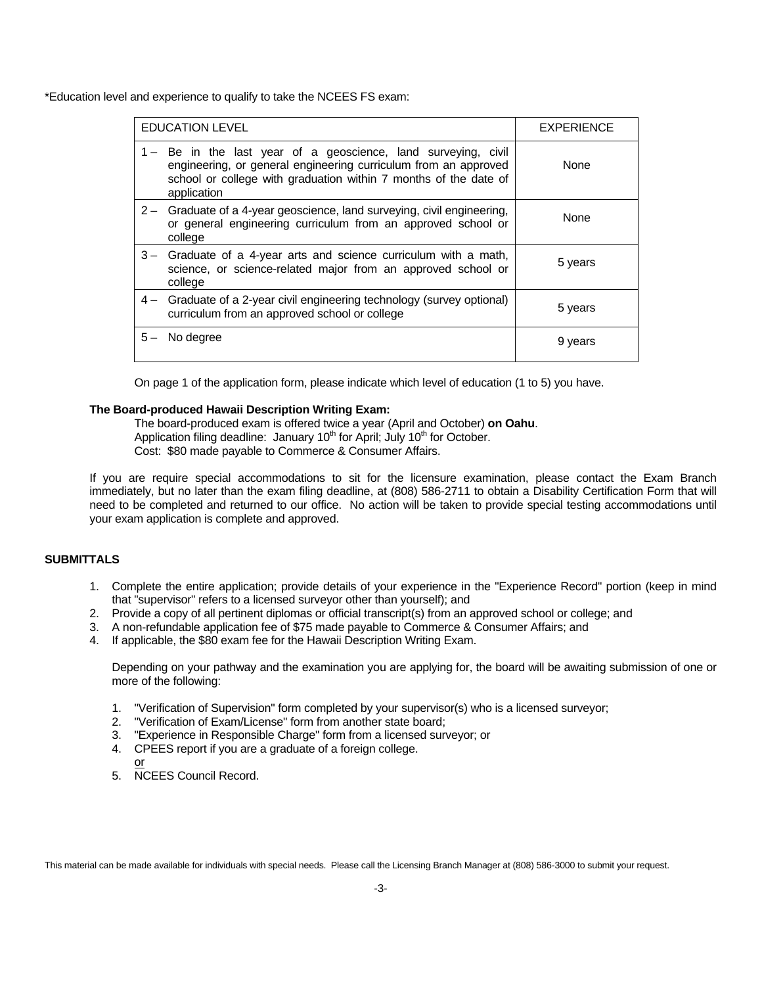\*Education level and experience to qualify to take the NCEES FS exam:

| <b>EDUCATION LEVEL</b>                                                                                                                                                                                               | <b>EXPERIENCE</b> |
|----------------------------------------------------------------------------------------------------------------------------------------------------------------------------------------------------------------------|-------------------|
| 1 - Be in the last year of a geoscience, land surveying, civil<br>engineering, or general engineering curriculum from an approved<br>school or college with graduation within 7 months of the date of<br>application | None              |
| 2 - Graduate of a 4-year geoscience, land surveying, civil engineering,<br>or general engineering curriculum from an approved school or<br>college                                                                   | None              |
| 3 – Graduate of a 4-year arts and science curriculum with a math,<br>science, or science-related major from an approved school or<br>college                                                                         | 5 years           |
| 4 - Graduate of a 2-year civil engineering technology (survey optional)<br>curriculum from an approved school or college                                                                                             | 5 years           |
| No degree                                                                                                                                                                                                            | 9 years           |

On page 1 of the application form, please indicate which level of education (1 to 5) you have.

### **The Board-produced Hawaii Description Writing Exam:**

The board-produced exam is offered twice a year (April and October) **on Oahu**. Application filing deadline: January  $10<sup>th</sup>$  for April; July  $10<sup>th</sup>$  for October. Cost: \$80 made payable to Commerce & Consumer Affairs.

If you are require special accommodations to sit for the licensure examination, please contact the Exam Branch immediately, but no later than the exam filing deadline, at (808) 586-2711 to obtain a Disability Certification Form that will need to be completed and returned to our office. No action will be taken to provide special testing accommodations until your exam application is complete and approved.

## **SUBMITTALS**

- 1. Complete the entire application; provide details of your experience in the "Experience Record" portion (keep in mind that "supervisor" refers to a licensed surveyor other than yourself); and
- 2. Provide a copy of all pertinent diplomas or official transcript(s) from an approved school or college; and
- 3. A non-refundable application fee of \$75 made payable to Commerce & Consumer Affairs; and
- 4. If applicable, the \$80 exam fee for the Hawaii Description Writing Exam.

Depending on your pathway and the examination you are applying for, the board will be awaiting submission of one or more of the following:

- 1. "Verification of Supervision" form completed by your supervisor(s) who is a licensed surveyor;
- 2. "Verification of Exam/License" form from another state board;
- 3. "Experience in Responsible Charge" form from a licensed surveyor; or
- 4. CPEES report if you are a graduate of a foreign college.
- or 5. NCEES Council Record.

This material can be made available for individuals with special needs. Please call the Licensing Branch Manager at (808) 586-3000 to submit your request.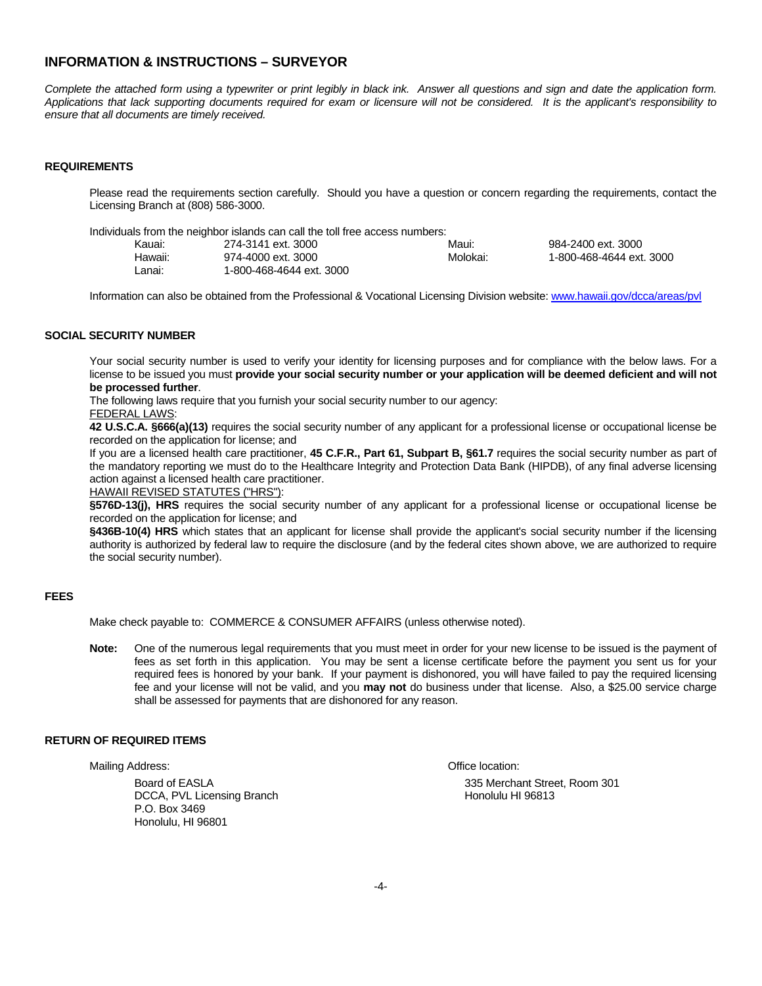## **INFORMATION & INSTRUCTIONS – SURVEYOR**

*Complete the attached form using a typewriter or print legibly in black ink. Answer all questions and sign and date the application form. Applications that lack supporting documents required for exam or licensure will not be considered. It is the applicant's responsibility to ensure that all documents are timely received.* 

#### **REQUIREMENTS**

Please read the requirements section carefully. Should you have a question or concern regarding the requirements, contact the Licensing Branch at (808) 586-3000.

Individuals from the neighbor islands can call the toll free access numbers:

| Kauai:  | 274-3141 ext. 3000       | Maui:    | 984-2400 ext. 3000       |
|---------|--------------------------|----------|--------------------------|
| Hawaii: | 974-4000 ext. 3000       | Molokai: | 1-800-468-4644 ext. 3000 |
| ∟anai:  | 1-800-468-4644 ext. 3000 |          |                          |

Information can also be obtained from the Professional & Vocational Licensing Division website: www.hawaii.gov/dcca/areas/pvl

#### **SOCIAL SECURITY NUMBER**

Your social security number is used to verify your identity for licensing purposes and for compliance with the below laws. For a license to be issued you must **provide your social security number or your application will be deemed deficient and will not be processed further**.

The following laws require that you furnish your social security number to our agency:

FEDERAL LAWS:

**42 U.S.C.A. §666(a)(13)** requires the social security number of any applicant for a professional license or occupational license be recorded on the application for license; and

If you are a licensed health care practitioner, **45 C.F.R., Part 61, Subpart B, §61.7** requires the social security number as part of the mandatory reporting we must do to the Healthcare Integrity and Protection Data Bank (HIPDB), of any final adverse licensing action against a licensed health care practitioner.

HAWAII REVISED STATUTES ("HRS"):

**§576D-13(j), HRS** requires the social security number of any applicant for a professional license or occupational license be recorded on the application for license; and

**§436B-10(4) HRS** which states that an applicant for license shall provide the applicant's social security number if the licensing authority is authorized by federal law to require the disclosure (and by the federal cites shown above, we are authorized to require the social security number).

#### **FEES**

Make check payable to: COMMERCE & CONSUMER AFFAIRS (unless otherwise noted).

**Note:** One of the numerous legal requirements that you must meet in order for your new license to be issued is the payment of fees as set forth in this application. You may be sent a license certificate before the payment you sent us for your required fees is honored by your bank. If your payment is dishonored, you will have failed to pay the required licensing fee and your license will not be valid, and you **may not** do business under that license. Also, a \$25.00 service charge shall be assessed for payments that are dishonored for any reason.

#### **RETURN OF REQUIRED ITEMS**

Mailing Address: Contract the Contract of Contract of Contract of Contract of Contract of Contract of Contract of Contract of Contract of Contract of Contract of Contract of Contract of Contract of Contract of Contract of

DCCA, PVL Licensing Branch **Honolulu HI 96813** P.O. Box 3469 Honolulu, HI 96801

Board of EASLA 335 Merchant Street, Room 301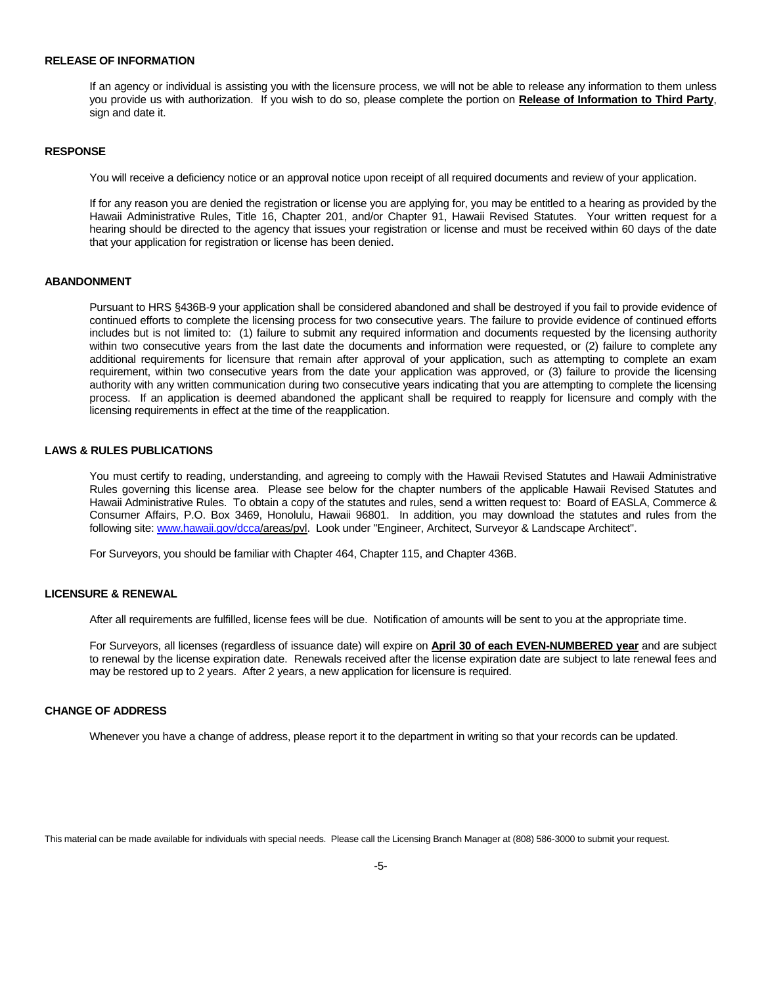#### **RELEASE OF INFORMATION**

If an agency or individual is assisting you with the licensure process, we will not be able to release any information to them unless you provide us with authorization. If you wish to do so, please complete the portion on **Release of Information to Third Party**, sign and date it.

#### **RESPONSE**

You will receive a deficiency notice or an approval notice upon receipt of all required documents and review of your application.

If for any reason you are denied the registration or license you are applying for, you may be entitled to a hearing as provided by the Hawaii Administrative Rules, Title 16, Chapter 201, and/or Chapter 91, Hawaii Revised Statutes. Your written request for a hearing should be directed to the agency that issues your registration or license and must be received within 60 days of the date that your application for registration or license has been denied.

### **ABANDONMENT**

Pursuant to HRS §436B-9 your application shall be considered abandoned and shall be destroyed if you fail to provide evidence of continued efforts to complete the licensing process for two consecutive years. The failure to provide evidence of continued efforts includes but is not limited to: (1) failure to submit any required information and documents requested by the licensing authority within two consecutive years from the last date the documents and information were requested, or (2) failure to complete any additional requirements for licensure that remain after approval of your application, such as attempting to complete an exam requirement, within two consecutive years from the date your application was approved, or (3) failure to provide the licensing authority with any written communication during two consecutive years indicating that you are attempting to complete the licensing process. If an application is deemed abandoned the applicant shall be required to reapply for licensure and comply with the licensing requirements in effect at the time of the reapplication.

#### **LAWS & RULES PUBLICATIONS**

You must certify to reading, understanding, and agreeing to comply with the Hawaii Revised Statutes and Hawaii Administrative Rules governing this license area. Please see below for the chapter numbers of the applicable Hawaii Revised Statutes and Hawaii Administrative Rules. To obtain a copy of the statutes and rules, send a written request to: Board of EASLA, Commerce & Consumer Affairs, P.O. Box 3469, Honolulu, Hawaii 96801. In addition, you may download the statutes and rules from the following site: www.hawaii.gov/dcca/areas/pvl. Look under "Engineer, Architect, Surveyor & Landscape Architect".

For Surveyors, you should be familiar with Chapter 464, Chapter 115, and Chapter 436B.

#### **LICENSURE & RENEWAL**

After all requirements are fulfilled, license fees will be due. Notification of amounts will be sent to you at the appropriate time.

For Surveyors, all licenses (regardless of issuance date) will expire on **April 30 of each EVEN-NUMBERED year** and are subject to renewal by the license expiration date. Renewals received after the license expiration date are subject to late renewal fees and may be restored up to 2 years. After 2 years, a new application for licensure is required.

#### **CHANGE OF ADDRESS**

Whenever you have a change of address, please report it to the department in writing so that your records can be updated.

This material can be made available for individuals with special needs. Please call the Licensing Branch Manager at (808) 586-3000 to submit your request.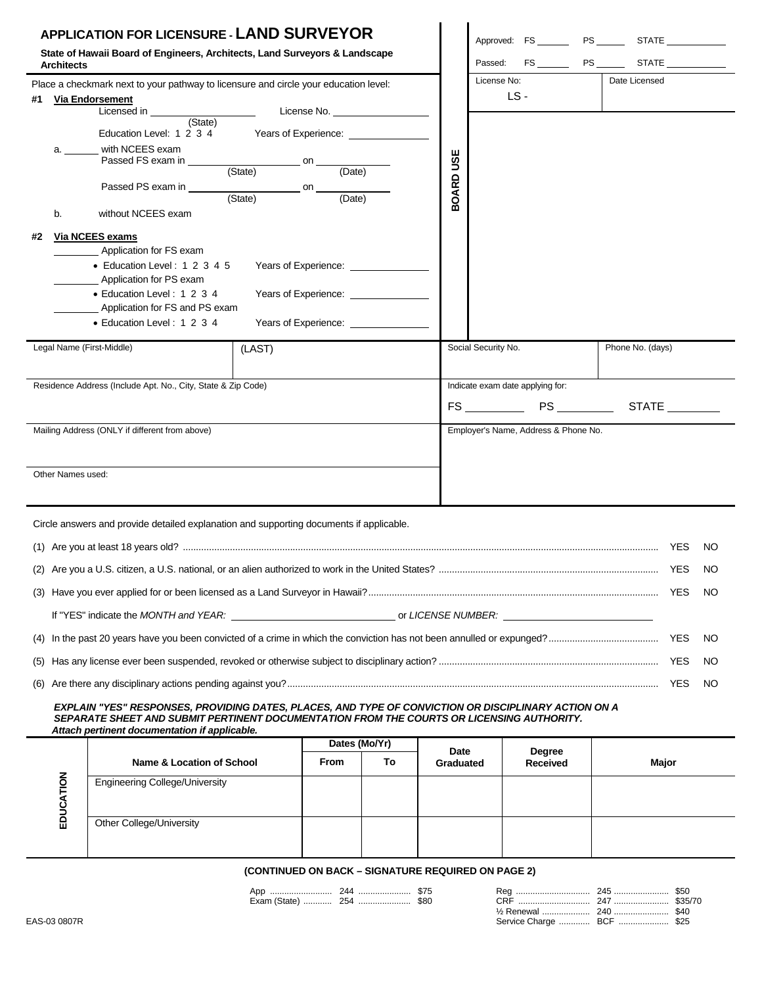| <b>APPLICATION FOR LICENSURE - LAND SURVEYOR</b><br>State of Hawaii Board of Engineers, Architects, Land Surveyors & Landscape<br><b>Architects</b> |                   |                                                                                                                                                                                                                                                |                                                                      |                                           |    |           | Approved: FS _______ PS ______ STATE _________<br>$FS$ $PS$ $PS$ $STATE$<br>Passed: |                                  |  |                  |           |
|-----------------------------------------------------------------------------------------------------------------------------------------------------|-------------------|------------------------------------------------------------------------------------------------------------------------------------------------------------------------------------------------------------------------------------------------|----------------------------------------------------------------------|-------------------------------------------|----|-----------|-------------------------------------------------------------------------------------|----------------------------------|--|------------------|-----------|
| Place a checkmark next to your pathway to licensure and circle your education level:                                                                |                   |                                                                                                                                                                                                                                                |                                                                      |                                           |    |           | License No:                                                                         |                                  |  | Date Licensed    |           |
| #1 Via Endorsement                                                                                                                                  |                   |                                                                                                                                                                                                                                                |                                                                      |                                           |    |           |                                                                                     | LS-                              |  |                  |           |
|                                                                                                                                                     |                   | Licensed in <b>Example 20</b> Second in the second second in the second second second second second second second second second second second second second second second second second second second second second second second s<br>(State) |                                                                      | License No. _____________________         |    |           |                                                                                     |                                  |  |                  |           |
|                                                                                                                                                     |                   | Education Level: 1 2 3 4 Years of Experience:                                                                                                                                                                                                  |                                                                      |                                           |    |           |                                                                                     |                                  |  |                  |           |
|                                                                                                                                                     | а.                | with NCEES exam<br>Passed FS exam in                                                                                                                                                                                                           |                                                                      |                                           |    |           |                                                                                     |                                  |  |                  |           |
|                                                                                                                                                     |                   |                                                                                                                                                                                                                                                | (State)                                                              | $\overline{(\text{Date})}$                |    | BOARD USE |                                                                                     |                                  |  |                  |           |
|                                                                                                                                                     |                   | Passed PS exam in                                                                                                                                                                                                                              | $\frac{\ }{\ }$ on $\frac{\ }{\ }$ (State) on $\frac{\ }{\ }$ (Date) | (Date)                                    |    |           |                                                                                     |                                  |  |                  |           |
|                                                                                                                                                     | b.                | without NCEES exam                                                                                                                                                                                                                             |                                                                      |                                           |    |           |                                                                                     |                                  |  |                  |           |
| #2                                                                                                                                                  |                   | Via NCEES exams                                                                                                                                                                                                                                |                                                                      |                                           |    |           |                                                                                     |                                  |  |                  |           |
|                                                                                                                                                     |                   | Application for FS exam<br>• Education Level: 1 2 3 4 5                                                                                                                                                                                        |                                                                      |                                           |    |           |                                                                                     |                                  |  |                  |           |
|                                                                                                                                                     |                   | Application for PS exam                                                                                                                                                                                                                        |                                                                      |                                           |    |           |                                                                                     |                                  |  |                  |           |
|                                                                                                                                                     |                   | • Education Level: 1 2 3 4                                                                                                                                                                                                                     | Years of Experience: _______________                                 |                                           |    |           |                                                                                     |                                  |  |                  |           |
|                                                                                                                                                     |                   | Application for FS and PS exam<br>• Education Level: 1 2 3 4                                                                                                                                                                                   |                                                                      |                                           |    |           |                                                                                     |                                  |  |                  |           |
|                                                                                                                                                     |                   |                                                                                                                                                                                                                                                |                                                                      | Years of Experience: Years of Experience: |    |           |                                                                                     |                                  |  |                  |           |
|                                                                                                                                                     |                   | Legal Name (First-Middle)                                                                                                                                                                                                                      | (LAST)                                                               |                                           |    |           | Social Security No.                                                                 |                                  |  | Phone No. (days) |           |
|                                                                                                                                                     |                   | Residence Address (Include Apt. No., City, State & Zip Code)                                                                                                                                                                                   |                                                                      |                                           |    |           |                                                                                     | Indicate exam date applying for: |  |                  |           |
|                                                                                                                                                     |                   |                                                                                                                                                                                                                                                |                                                                      |                                           |    |           | $FS$ PS PS PS<br>STATE                                                              |                                  |  |                  |           |
|                                                                                                                                                     |                   |                                                                                                                                                                                                                                                |                                                                      |                                           |    |           | Employer's Name, Address & Phone No.                                                |                                  |  |                  |           |
|                                                                                                                                                     |                   | Mailing Address (ONLY if different from above)                                                                                                                                                                                                 |                                                                      |                                           |    |           |                                                                                     |                                  |  |                  |           |
|                                                                                                                                                     |                   |                                                                                                                                                                                                                                                |                                                                      |                                           |    |           |                                                                                     |                                  |  |                  |           |
|                                                                                                                                                     | Other Names used: |                                                                                                                                                                                                                                                |                                                                      |                                           |    |           |                                                                                     |                                  |  |                  |           |
|                                                                                                                                                     |                   |                                                                                                                                                                                                                                                |                                                                      |                                           |    |           |                                                                                     |                                  |  |                  |           |
|                                                                                                                                                     |                   | Circle answers and provide detailed explanation and supporting documents if applicable.                                                                                                                                                        |                                                                      |                                           |    |           |                                                                                     |                                  |  |                  |           |
|                                                                                                                                                     |                   |                                                                                                                                                                                                                                                |                                                                      |                                           |    |           |                                                                                     |                                  |  | YES              | NO.       |
|                                                                                                                                                     |                   |                                                                                                                                                                                                                                                |                                                                      |                                           |    |           |                                                                                     |                                  |  |                  | NO.       |
|                                                                                                                                                     |                   |                                                                                                                                                                                                                                                |                                                                      |                                           |    |           |                                                                                     |                                  |  |                  | NO.       |
|                                                                                                                                                     |                   |                                                                                                                                                                                                                                                |                                                                      |                                           |    |           |                                                                                     |                                  |  |                  |           |
| (4)                                                                                                                                                 |                   |                                                                                                                                                                                                                                                |                                                                      |                                           |    |           |                                                                                     |                                  |  |                  | NO.       |
| (5)                                                                                                                                                 |                   |                                                                                                                                                                                                                                                |                                                                      |                                           |    |           |                                                                                     |                                  |  |                  | NO        |
| (6)                                                                                                                                                 |                   |                                                                                                                                                                                                                                                |                                                                      |                                           |    |           |                                                                                     |                                  |  |                  | <b>NO</b> |
|                                                                                                                                                     |                   | EXPLAIN "YES" RESPONSES, PROVIDING DATES, PLACES, AND TYPE OF CONVICTION OR DISCIPLINARY ACTION ON A                                                                                                                                           |                                                                      |                                           |    |           |                                                                                     |                                  |  |                  |           |
|                                                                                                                                                     |                   | SEPARATE SHEET AND SUBMIT PERTINENT DOCUMENTATION FROM THE COURTS OR LICENSING AUTHORITY.<br>Attach pertinent documentation if applicable.                                                                                                     |                                                                      |                                           |    |           |                                                                                     |                                  |  |                  |           |
|                                                                                                                                                     |                   |                                                                                                                                                                                                                                                |                                                                      | Dates (Mo/Yr)                             |    | Date      |                                                                                     | <b>Degree</b>                    |  |                  |           |
|                                                                                                                                                     |                   | <b>Name &amp; Location of School</b>                                                                                                                                                                                                           |                                                                      | <b>From</b>                               | To | Graduated |                                                                                     | <b>Received</b>                  |  | Major            |           |
|                                                                                                                                                     | EDUCATION         | <b>Engineering College/University</b>                                                                                                                                                                                                          |                                                                      |                                           |    |           |                                                                                     |                                  |  |                  |           |
|                                                                                                                                                     |                   |                                                                                                                                                                                                                                                |                                                                      |                                           |    |           |                                                                                     |                                  |  |                  |           |
|                                                                                                                                                     |                   | Other College/University                                                                                                                                                                                                                       |                                                                      |                                           |    |           |                                                                                     |                                  |  |                  |           |
|                                                                                                                                                     |                   |                                                                                                                                                                                                                                                |                                                                      |                                           |    |           |                                                                                     |                                  |  |                  |           |

# **(CONTINUED ON BACK – SIGNATURE REQUIRED ON PAGE 2)**

ri

|              | Apr<br> | 244 | \$75<br>\$80 |                     | 470<br>-247 | \$50<br>\$35/70 |
|--------------|---------|-----|--------------|---------------------|-------------|-----------------|
| EAS-03 0807R |         |     |              | Service Charge  BCF | \$25        |                 |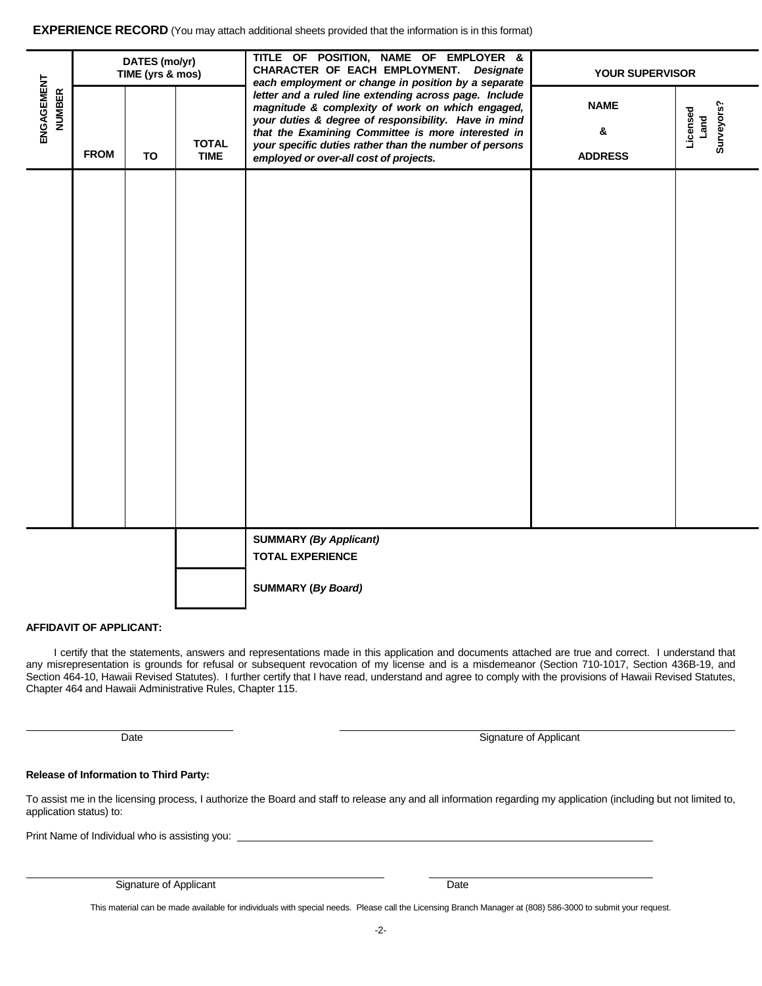**EXPERIENCE RECORD** (You may attach additional sheets provided that the information is in this format)

|                             | DATES (mo/yr)<br>TIME (yrs & mos) |    |                             | TITLE OF POSITION, NAME OF EMPLOYER &<br>CHARACTER OF EACH EMPLOYMENT. Designate<br>each employment or change in position by a separate                                                                                                                                                                                      | <b>YOUR SUPERVISOR</b>             |                                |  |  |
|-----------------------------|-----------------------------------|----|-----------------------------|------------------------------------------------------------------------------------------------------------------------------------------------------------------------------------------------------------------------------------------------------------------------------------------------------------------------------|------------------------------------|--------------------------------|--|--|
| ENGAGEMENT<br><b>NUMBER</b> | <b>FROM</b>                       | TO | <b>TOTAL</b><br><b>TIME</b> | letter and a ruled line extending across page. Include<br>magnitude & complexity of work on which engaged,<br>your duties & degree of responsibility. Have in mind<br>that the Examining Committee is more interested in<br>your specific duties rather than the number of persons<br>employed or over-all cost of projects. | <b>NAME</b><br>&<br><b>ADDRESS</b> | Surveyors?<br>Licensed<br>Land |  |  |
|                             |                                   |    |                             |                                                                                                                                                                                                                                                                                                                              |                                    |                                |  |  |
|                             |                                   |    |                             |                                                                                                                                                                                                                                                                                                                              |                                    |                                |  |  |
|                             |                                   |    |                             |                                                                                                                                                                                                                                                                                                                              |                                    |                                |  |  |
|                             |                                   |    |                             |                                                                                                                                                                                                                                                                                                                              |                                    |                                |  |  |
|                             |                                   |    |                             |                                                                                                                                                                                                                                                                                                                              |                                    |                                |  |  |
|                             |                                   |    |                             |                                                                                                                                                                                                                                                                                                                              |                                    |                                |  |  |
|                             |                                   |    |                             |                                                                                                                                                                                                                                                                                                                              |                                    |                                |  |  |
|                             |                                   |    |                             | <b>SUMMARY (By Applicant)</b><br><b>TOTAL EXPERIENCE</b>                                                                                                                                                                                                                                                                     |                                    |                                |  |  |
|                             |                                   |    |                             | <b>SUMMARY (By Board)</b>                                                                                                                                                                                                                                                                                                    |                                    |                                |  |  |

#### **AFFIDAVIT OF APPLICANT:**

I certify that the statements, answers and representations made in this application and documents attached are true and correct. I understand that any misrepresentation is grounds for refusal or subsequent revocation of my license and is a misdemeanor (Section 710-1017, Section 436B-19, and Section 464-10, Hawaii Revised Statutes). I further certify that I have read, understand and agree to comply with the provisions of Hawaii Revised Statutes, Chapter 464 and Hawaii Administrative Rules, Chapter 115.

| Date | Signature of Applicant |
|------|------------------------|
|------|------------------------|

#### **Release of Information to Third Party:**

To assist me in the licensing process, I authorize the Board and staff to release any and all information regarding my application (including but not limited to, application status) to:

Print Name of Individual who is assisting you:

Signature of Applicant Date

This material can be made available for individuals with special needs. Please call the Licensing Branch Manager at (808) 586-3000 to submit your request.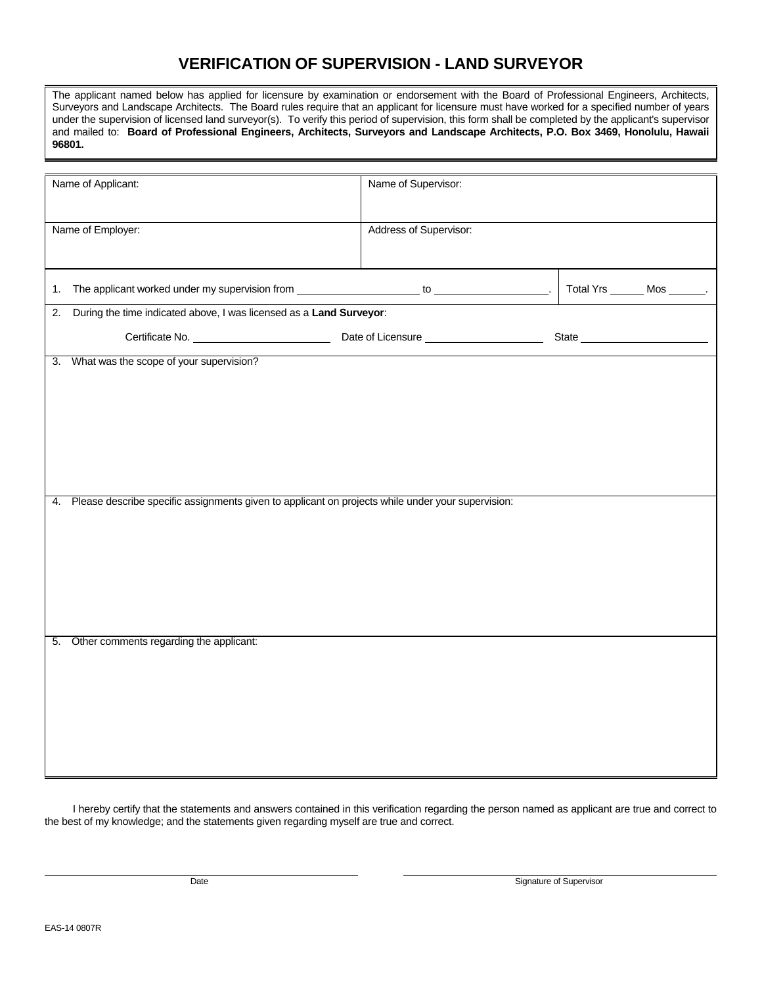# **VERIFICATION OF SUPERVISION - LAND SURVEYOR**

The applicant named below has applied for licensure by examination or endorsement with the Board of Professional Engineers, Architects, Surveyors and Landscape Architects. The Board rules require that an applicant for licensure must have worked for a specified number of years under the supervision of licensed land surveyor(s). To verify this period of supervision, this form shall be completed by the applicant's supervisor and mailed to: **Board of Professional Engineers, Architects, Surveyors and Landscape Architects, P.O. Box 3469, Honolulu, Hawaii 96801.** 

| Name of Applicant:                                                                                      | Name of Supervisor:    |                                |  |  |  |
|---------------------------------------------------------------------------------------------------------|------------------------|--------------------------------|--|--|--|
| Name of Employer:                                                                                       | Address of Supervisor: |                                |  |  |  |
| 1.                                                                                                      |                        | Total Yrs _______ Mos _______. |  |  |  |
| During the time indicated above, I was licensed as a Land Surveyor:<br>2.                               |                        |                                |  |  |  |
|                                                                                                         |                        |                                |  |  |  |
| 3. What was the scope of your supervision?                                                              |                        |                                |  |  |  |
| Please describe specific assignments given to applicant on projects while under your supervision:<br>4. |                        |                                |  |  |  |
| Other comments regarding the applicant:<br>5.                                                           |                        |                                |  |  |  |

I hereby certify that the statements and answers contained in this verification regarding the person named as applicant are true and correct to the best of my knowledge; and the statements given regarding myself are true and correct.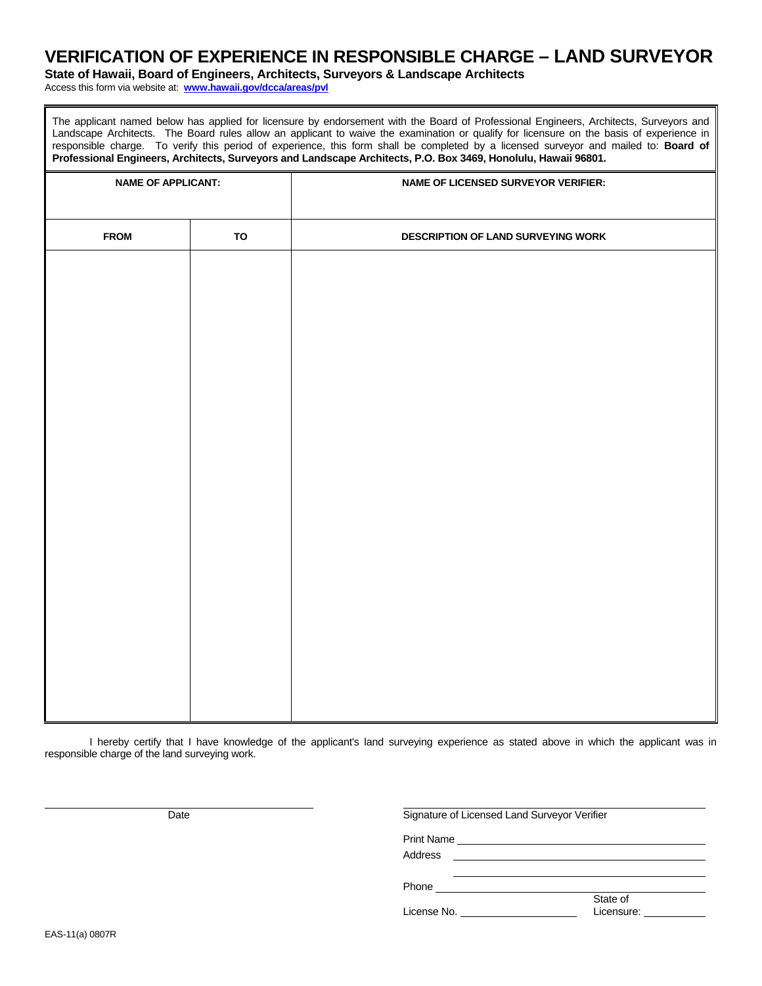# **VERIFICATION OF EXPERIENCE IN RESPONSIBLE CHARGE – LAND SURVEYOR**

**State of Hawaii, Board of Engineers, Architects, Surveyors & Landscape Architects**

Access this form via website at: **www.hawaii.gov/dcca/areas/pvl** 

The applicant named below has applied for licensure by endorsement with the Board of Professional Engineers, Architects, Surveyors and Landscape Architects. The Board rules allow an applicant to waive the examination or qualify for licensure on the basis of experience in responsible charge. To verify this period of experience, this form shall be completed by a licensed surveyor and mailed to: **Board of Professional Engineers, Architects, Surveyors and Landscape Architects, P.O. Box 3469, Honolulu, Hawaii 96801.** 

| <b>NAME OF APPLICANT:</b> |    | NAME OF LICENSED SURVEYOR VERIFIER: |  |  |  |  |
|---------------------------|----|-------------------------------------|--|--|--|--|
| <b>FROM</b>               | TO | DESCRIPTION OF LAND SURVEYING WORK  |  |  |  |  |
|                           |    |                                     |  |  |  |  |
|                           |    |                                     |  |  |  |  |
|                           |    |                                     |  |  |  |  |
|                           |    |                                     |  |  |  |  |
|                           |    |                                     |  |  |  |  |
|                           |    |                                     |  |  |  |  |
|                           |    |                                     |  |  |  |  |
|                           |    |                                     |  |  |  |  |
|                           |    |                                     |  |  |  |  |
|                           |    |                                     |  |  |  |  |
|                           |    |                                     |  |  |  |  |
|                           |    |                                     |  |  |  |  |
|                           |    |                                     |  |  |  |  |
|                           |    |                                     |  |  |  |  |

I hereby certify that I have knowledge of the applicant's land surveying experience as stated above in which the applicant was in responsible charge of the land surveying work.

| Date | Signature of Licensed Land Surveyor Verifier |                                                                            |
|------|----------------------------------------------|----------------------------------------------------------------------------|
|      | <b>Print Name</b>                            | the control of the control of the control of the control of the control of |
|      | Address                                      |                                                                            |
|      | Phone                                        |                                                                            |
|      | License No.                                  | State of<br>Licensure:                                                     |